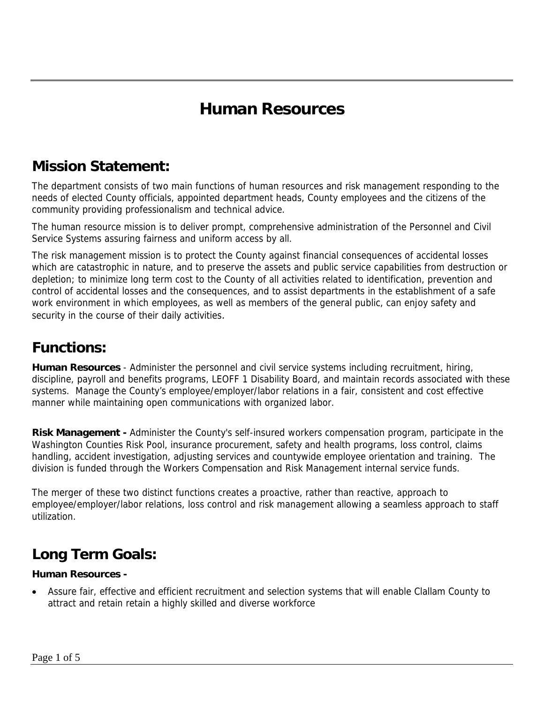## **Human Resources**

#### **Mission Statement:**

The department consists of two main functions of human resources and risk management responding to the needs of elected County officials, appointed department heads, County employees and the citizens of the community providing professionalism and technical advice.

The human resource mission is to deliver prompt, comprehensive administration of the Personnel and Civil Service Systems assuring fairness and uniform access by all.

The risk management mission is to protect the County against financial consequences of accidental losses which are catastrophic in nature, and to preserve the assets and public service capabilities from destruction or depletion; to minimize long term cost to the County of all activities related to identification, prevention and control of accidental losses and the consequences, and to assist departments in the establishment of a safe work environment in which employees, as well as members of the general public, can enjoy safety and security in the course of their daily activities.

### **Functions:**

**Human Resources** - Administer the personnel and civil service systems including recruitment, hiring, discipline, payroll and benefits programs, LEOFF 1 Disability Board, and maintain records associated with these systems. Manage the County's employee/employer/labor relations in a fair, consistent and cost effective manner while maintaining open communications with organized labor.

**Risk Management -** Administer the County's self-insured workers compensation program, participate in the Washington Counties Risk Pool, insurance procurement, safety and health programs, loss control, claims handling, accident investigation, adjusting services and countywide employee orientation and training. The division is funded through the Workers Compensation and Risk Management internal service funds.

The merger of these two distinct functions creates a proactive, rather than reactive, approach to employee/employer/labor relations, loss control and risk management allowing a seamless approach to staff utilization.

## **Long Term Goals:**

#### **Human Resources -**

• Assure fair, effective and efficient recruitment and selection systems that will enable Clallam County to attract and retain retain a highly skilled and diverse workforce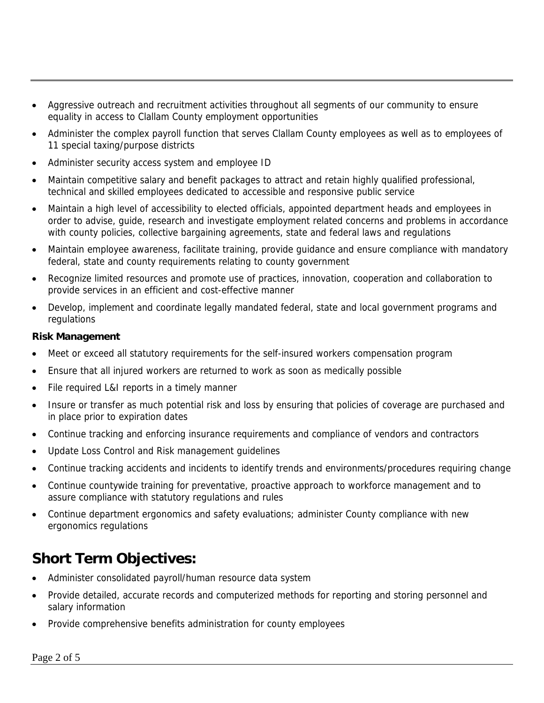- Aggressive outreach and recruitment activities throughout all segments of our community to ensure equality in access to Clallam County employment opportunities
- Administer the complex payroll function that serves Clallam County employees as well as to employees of 11 special taxing/purpose districts
- Administer security access system and employee ID
- Maintain competitive salary and benefit packages to attract and retain highly qualified professional, technical and skilled employees dedicated to accessible and responsive public service
- Maintain a high level of accessibility to elected officials, appointed department heads and employees in order to advise, guide, research and investigate employment related concerns and problems in accordance with county policies, collective bargaining agreements, state and federal laws and regulations
- Maintain employee awareness, facilitate training, provide guidance and ensure compliance with mandatory federal, state and county requirements relating to county government
- Recognize limited resources and promote use of practices, innovation, cooperation and collaboration to provide services in an efficient and cost-effective manner
- Develop, implement and coordinate legally mandated federal, state and local government programs and regulations

#### **Risk Management**

- Meet or exceed all statutory requirements for the self-insured workers compensation program
- Ensure that all injured workers are returned to work as soon as medically possible
- File required L&I reports in a timely manner
- Insure or transfer as much potential risk and loss by ensuring that policies of coverage are purchased and in place prior to expiration dates
- Continue tracking and enforcing insurance requirements and compliance of vendors and contractors
- Update Loss Control and Risk management guidelines
- Continue tracking accidents and incidents to identify trends and environments/procedures requiring change
- Continue countywide training for preventative, proactive approach to workforce management and to assure compliance with statutory regulations and rules
- Continue department ergonomics and safety evaluations; administer County compliance with new ergonomics regulations

### **Short Term Objectives:**

- Administer consolidated payroll/human resource data system
- Provide detailed, accurate records and computerized methods for reporting and storing personnel and salary information
- Provide comprehensive benefits administration for county employees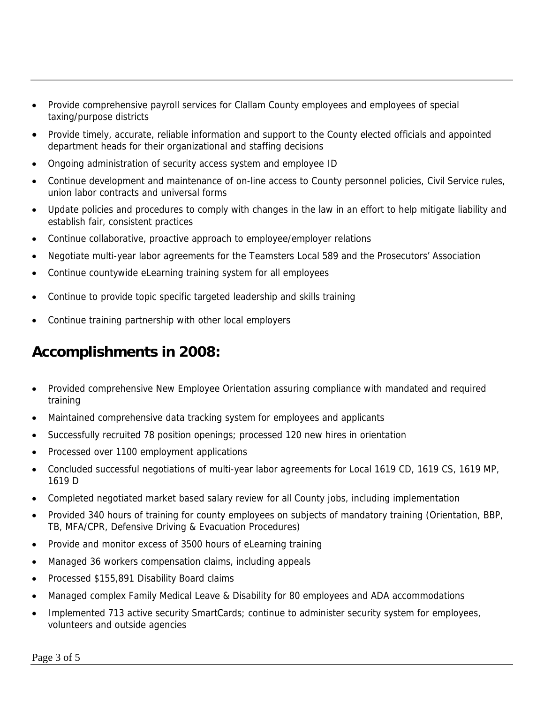- Provide comprehensive payroll services for Clallam County employees and employees of special taxing/purpose districts
- Provide timely, accurate, reliable information and support to the County elected officials and appointed department heads for their organizational and staffing decisions
- Ongoing administration of security access system and employee ID
- Continue development and maintenance of on-line access to County personnel policies, Civil Service rules, union labor contracts and universal forms
- Update policies and procedures to comply with changes in the law in an effort to help mitigate liability and establish fair, consistent practices
- Continue collaborative, proactive approach to employee/employer relations
- Negotiate multi-year labor agreements for the Teamsters Local 589 and the Prosecutors' Association
- Continue countywide eLearning training system for all employees
- Continue to provide topic specific targeted leadership and skills training
- Continue training partnership with other local employers

## **Accomplishments in 2008:**

- Provided comprehensive New Employee Orientation assuring compliance with mandated and required training
- Maintained comprehensive data tracking system for employees and applicants
- Successfully recruited 78 position openings; processed 120 new hires in orientation
- Processed over 1100 employment applications
- Concluded successful negotiations of multi-year labor agreements for Local 1619 CD, 1619 CS, 1619 MP, 1619 D
- Completed negotiated market based salary review for all County jobs, including implementation
- Provided 340 hours of training for county employees on subjects of mandatory training (Orientation, BBP, TB, MFA/CPR, Defensive Driving & Evacuation Procedures)
- Provide and monitor excess of 3500 hours of eLearning training
- Managed 36 workers compensation claims, including appeals
- Processed \$155,891 Disability Board claims
- Managed complex Family Medical Leave & Disability for 80 employees and ADA accommodations
- Implemented 713 active security SmartCards; continue to administer security system for employees, volunteers and outside agencies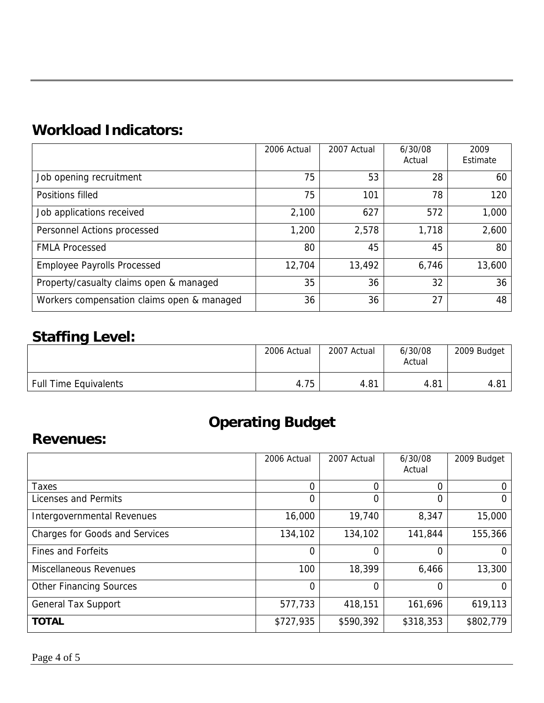## **Workload Indicators:**

|                                            | 2006 Actual | 2007 Actual | 6/30/08<br>Actual | 2009<br>Estimate |
|--------------------------------------------|-------------|-------------|-------------------|------------------|
| Job opening recruitment                    | 75          | 53          | 28                | 60               |
| Positions filled                           | 75          | 101         | 78                | 120              |
| Job applications received                  | 2,100       | 627         | 572               | 1,000            |
| Personnel Actions processed                | 1,200       | 2,578       | 1,718             | 2,600            |
| <b>FMLA Processed</b>                      | 80          | 45          | 45                | 80               |
| <b>Employee Payrolls Processed</b>         | 12,704      | 13,492      | 6,746             | 13,600           |
| Property/casualty claims open & managed    | 35          | 36          | 32                | 36               |
| Workers compensation claims open & managed | 36          | 36          | 27                | 48               |

## **Staffing Level:**

|                              | 2006 Actual | 2007 Actual | 6/30/08<br>Actual | 2009 Budget |
|------------------------------|-------------|-------------|-------------------|-------------|
| <b>Full Time Equivalents</b> | 4.75        | 4.81        | 4.81              | 4.81        |

# **Operating Budget**

#### **Revenues:**

|                                       | 2006 Actual | 2007 Actual | 6/30/08<br>Actual | 2009 Budget |
|---------------------------------------|-------------|-------------|-------------------|-------------|
| Taxes                                 | 0           | 0           | 0                 |             |
| Licenses and Permits                  | 0           | 0           | 0                 | $\Omega$    |
| Intergovernmental Revenues            | 16,000      | 19,740      | 8,347             | 15,000      |
| <b>Charges for Goods and Services</b> | 134,102     | 134,102     | 141,844           | 155,366     |
| <b>Fines and Forfeits</b>             | 0           | 0           | 0                 | 0           |
| Miscellaneous Revenues                | 100         | 18,399      | 6,466             | 13,300      |
| <b>Other Financing Sources</b>        | 0           | $\Omega$    | 0                 | 0           |
| <b>General Tax Support</b>            | 577,733     | 418,151     | 161,696           | 619,113     |
| <b>TOTAL</b>                          | \$727,935   | \$590,392   | \$318,353         | \$802,779   |